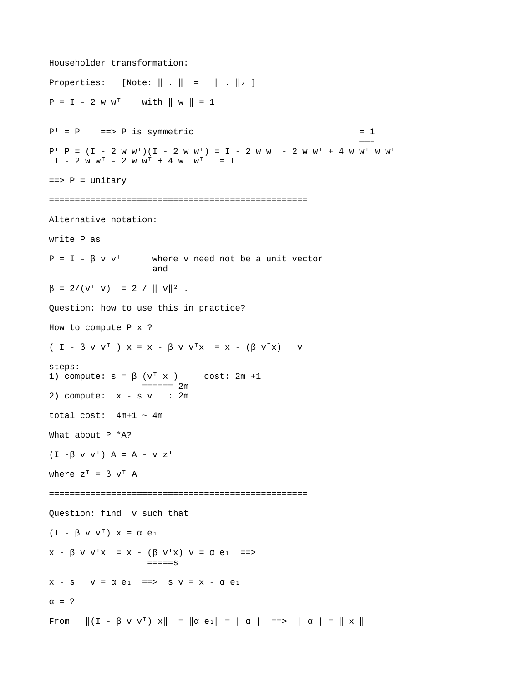Householder transformation: Properties:  $[Note: || . || = || . ||_2 ]$  $P = I - 2$  w w<sup>T</sup> with  $\| w \| = 1$  $P<sup>T</sup> = P$  =  $\Rightarrow$  P is symmetric  $= 1$  ——–  $P^{T} P = (I - 2 W W^{T})(I - 2 W W^{T}) = I - 2 W W^{T} - 2 W W^{T} + 4 W W^{T} W W^{T}$  $I - 2$  w w<sup>T</sup> - 2 w w<sup>T</sup> + 4 w w<sup>T</sup> = I  $==$ >  $P =$  unitary ================================================== Alternative notation: write P as  $P = I - \beta V V^{T}$  where v need not be a unit vector and  $\beta = 2/(v^{\dagger} \text{ } v) = 2 / || \text{ } v ||^2$ . Question: how to use this in practice? How to compute P x ? (  $I - \beta$  v v<sup>T</sup> )  $x = x - \beta$  v v<sup>T</sup> $x = x - (\beta$  v<sup>T</sup> $x$ ) v steps: 1) compute:  $s = \beta$  ( $v^T$  x ) cost: 2m +1  $=$  $=$  $=$  $=$  $=$  $2m$ 2) compute:  $x - s v$  : 2m total cost:  $4m+1 \sim 4m$ What about P \*A?  $(I - \beta V V^T) A = A - V Z^T$ where  $Z^T = \beta V^T A$ ================================================== Question: find v such that (I -  $\beta$  v v<sup>T</sup>)  $x = \alpha e_1$  $x - \beta$  v v<sup>T</sup> $x = x - (\beta$  v<sup>T</sup> $x)$  v =  $\alpha$  e<sub>1</sub> = = >  $====s$  $x - s$   $v = \alpha e_1$  =  $\Rightarrow$   $s$   $v = x - \alpha e_1$  $\alpha = ?$ From  $\|(I - \beta \vee v^T) \times \|$  =  $\|\alpha e_1\|$  = |  $\alpha$  | ==> |  $\alpha$  | =  $\| \times \|$